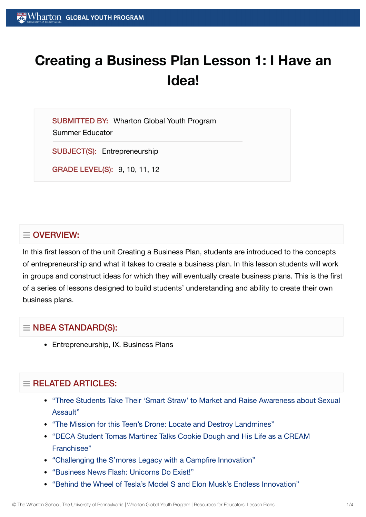# **Creating a Business Plan Lesson 1: I Have an Idea!**

SUBMITTED BY: Wharton Global Youth Program Summer Educator

SUBJECT(S): Entrepreneurship

GRADE LEVEL(S): 9, 10, 11, 12

# $\equiv$  OVERVIEW:

In this first lesson of the unit Creating a Business Plan, students are introduced to the concepts of entrepreneurship and what it takes to create a business plan. In this lesson students will work in groups and construct ideas for which they will eventually create business plans. This is the first of a series of lessons designed to build students' understanding and ability to create their own business plans.

## $\equiv$  NBEA STANDARD(S):

Entrepreneurship, IX. Business Plans

# $=$  RELATED ARTICLES:

- "Three Students Take Their 'Smart Straw' to Market and Raise [Awareness about](https://globalyouth.wharton.upenn.edu/articles/three-students-take-smart-straws-market-raise-awareness-sexual-assault/) Sexual Assault"
- "The Mission for this Teen's Drone: Locate and [Destroy Landmines"](https://globalyouth.wharton.upenn.edu/articles/drone-detects-detonates-landmines-saves-lives/)
- "DECA Student [Tomas Martinez](https://globalyouth.wharton.upenn.edu/articles/deca-tomas-martinez-cream-franchisee/) Talks Cookie Dough and His Life as a CREAM Franchisee"
- "Challenging the [S'mores Legacy with](https://globalyouth.wharton.upenn.edu/articles/move-smores-make-room-wolfem-stick/) a Campfire Innovation"
- ["Business News Flash:](https://globalyouth.wharton.upenn.edu/articles/business-news-flash-unicorns-exist/) Unicorns Do Exist!"
- "Behind the Wheel of Tesla's Model S and Elon [Musk's Endless Innovation"](https://globalyouth.wharton.upenn.edu/articles/behind-wheel-teslas-model-s-elon-musks-endless-innovation/)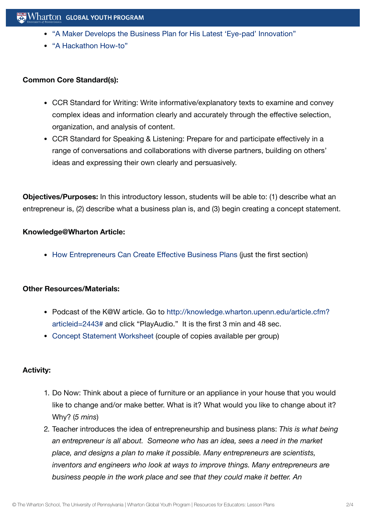- "A Maker Develops the [Business Plan](https://globalyouth.wharton.upenn.edu/articles/young-maker-develops-business-plan-latest-eye-pad-innovation/) for His Latest 'Eye-pad' Innovation"
- "A [Hackathon](https://globalyouth.wharton.upenn.edu/articles/a-hackathon-how-to/) How-to"

### **Common Core Standard(s):**

- CCR Standard for Writing: Write informative/explanatory texts to examine and convey complex ideas and information clearly and accurately through the effective selection, organization, and analysis of content.
- CCR Standard for Speaking & Listening: Prepare for and participate effectively in a range of conversations and collaborations with diverse partners, building on others' ideas and expressing their own clearly and persuasively.

**Objectives/Purposes:** In this introductory lesson, students will be able to: (1) describe what an entrepreneur is, (2) describe what a business plan is, and (3) begin creating a concept statement.

#### **Knowledge@Wharton Article:**

• How [Entrepreneurs Can](https://globalyouth.wharton.upenn.edu/wp-content/uploads/2011/06/Entrepreneurship1_BusinessP.1.pdf) Create Effective Business Plans (just the first section)

## **Other Resources/Materials:**

- Podcast of the K@W article. Go to [http://knowledge.wharton.upenn.edu/article.cfm?](http://knowledge.wharton.upenn.edu/article.cfm?articleid=2443) articleid=2443# and click "PlayAudio." It is the first 3 min and 48 sec.
- Concept Statement [Worksheet](https://globalyouth.wharton.upenn.edu/wp-content/uploads/2012/01/Entrepreneurship1_BusinessPlanWorksht_.pdf) (couple of copies available per group)

## **Activity:**

- 1. Do Now: Think about a piece of furniture or an appliance in your house that you would like to change and/or make better. What is it? What would you like to change about it? Why? (*5 mins*)
- 2. Teacher introduces the idea of entrepreneurship and business plans: *This is what being an entrepreneur is all about. Someone who has an idea, sees a need in the market place, and designs a plan to make it possible. Many entrepreneurs are scientists, inventors and engineers who look at ways to improve things. Many entrepreneurs are business people in the work place and see that they could make it better. An*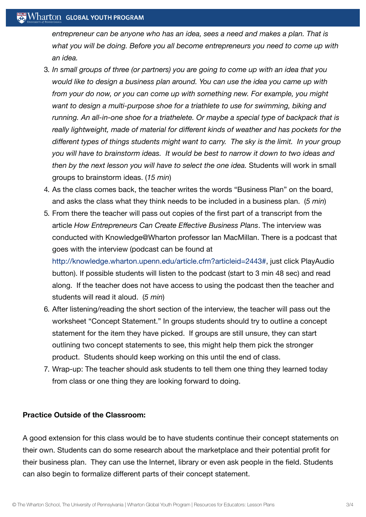*entrepreneur can be anyone who has an idea, sees a need and makes a plan. That is what you will be doing. Before you all become entrepreneurs you need to come up with an idea.*

- 3. *In small groups of three (or partners) you are going to come up with an idea that you would like to design a business plan around. You can use the idea you came up with from your do now, or you can come up with something new. For example, you might want to design a multi-purpose shoe for a triathlete to use for swimming, biking and running. An all-in-one shoe for a triathelete. Or maybe a special type of backpack that is really lightweight, made of material for different kinds of weather and has pockets for the different types of things students might want to carry. The sky is the limit. In your group you will have to brainstorm ideas. It would be best to narrow it down to two ideas and then by the next lesson you will have to select the one idea.* Students will work in small groups to brainstorm ideas. (*15 min*)
- 4. As the class comes back, the teacher writes the words "Business Plan" on the board, and asks the class what they think needs to be included in a business plan. (*5 min*)
- 5. From there the teacher will pass out copies of the first part of a transcript from the article *How Entrepreneurs Can Create Effective Business Plans*. The interview was conducted with Knowledge@Wharton professor Ian MacMillan. There is a podcast that goes with the interview (podcast can be found at

[http://knowledge.wharton.upenn.edu/article.cfm?articleid=2443#,](http://knowledge.wharton.upenn.edu/article.cfm?articleid=2443) just click PlayAudio button). If possible students will listen to the podcast (start to 3 min 48 sec) and read along. If the teacher does not have access to using the podcast then the teacher and students will read it aloud. (*5 min*)

- 6. After listening/reading the short section of the interview, the teacher will pass out the worksheet "Concept Statement." In groups students should try to outline a concept statement for the item they have picked. If groups are still unsure, they can start outlining two concept statements to see, this might help them pick the stronger product. Students should keep working on this until the end of class.
- 7. Wrap-up: The teacher should ask students to tell them one thing they learned today from class or one thing they are looking forward to doing.

#### **Practice Outside of the Classroom:**

A good extension for this class would be to have students continue their concept statements on their own. Students can do some research about the marketplace and their potential profit for their business plan. They can use the Internet, library or even ask people in the field. Students can also begin to formalize different parts of their concept statement.